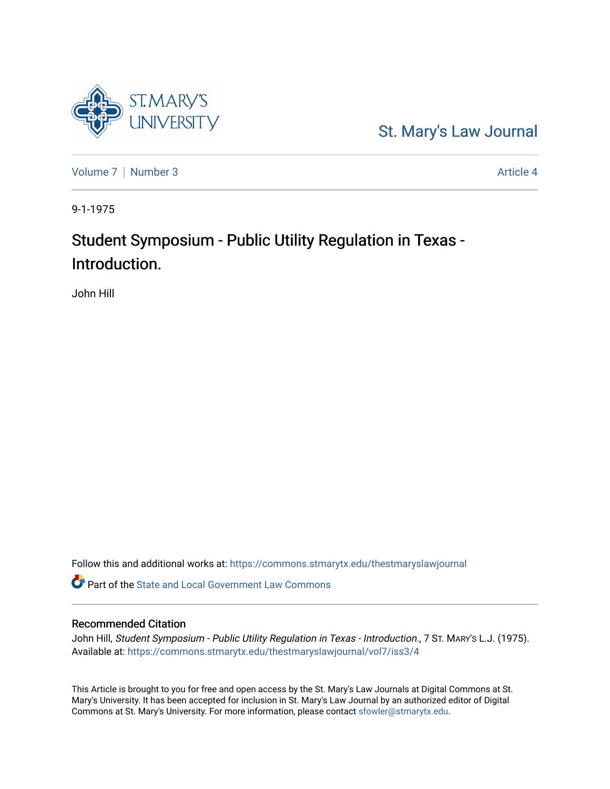

[St. Mary's Law Journal](https://commons.stmarytx.edu/thestmaryslawjournal) 

[Volume 7](https://commons.stmarytx.edu/thestmaryslawjournal/vol7) | [Number 3](https://commons.stmarytx.edu/thestmaryslawjournal/vol7/iss3) Article 4

9-1-1975

# Student Symposium - Public Utility Regulation in Texas - Introduction.

John Hill

Follow this and additional works at: [https://commons.stmarytx.edu/thestmaryslawjournal](https://commons.stmarytx.edu/thestmaryslawjournal?utm_source=commons.stmarytx.edu%2Fthestmaryslawjournal%2Fvol7%2Fiss3%2F4&utm_medium=PDF&utm_campaign=PDFCoverPages) 

**C** Part of the [State and Local Government Law Commons](https://network.bepress.com/hgg/discipline/879?utm_source=commons.stmarytx.edu%2Fthestmaryslawjournal%2Fvol7%2Fiss3%2F4&utm_medium=PDF&utm_campaign=PDFCoverPages)

#### Recommended Citation

John Hill, Student Symposium - Public Utility Regulation in Texas - Introduction., 7 ST. MARY's L.J. (1975). Available at: [https://commons.stmarytx.edu/thestmaryslawjournal/vol7/iss3/4](https://commons.stmarytx.edu/thestmaryslawjournal/vol7/iss3/4?utm_source=commons.stmarytx.edu%2Fthestmaryslawjournal%2Fvol7%2Fiss3%2F4&utm_medium=PDF&utm_campaign=PDFCoverPages) 

This Article is brought to you for free and open access by the St. Mary's Law Journals at Digital Commons at St. Mary's University. It has been accepted for inclusion in St. Mary's Law Journal by an authorized editor of Digital Commons at St. Mary's University. For more information, please contact [sfowler@stmarytx.edu](mailto:sfowler@stmarytx.edu).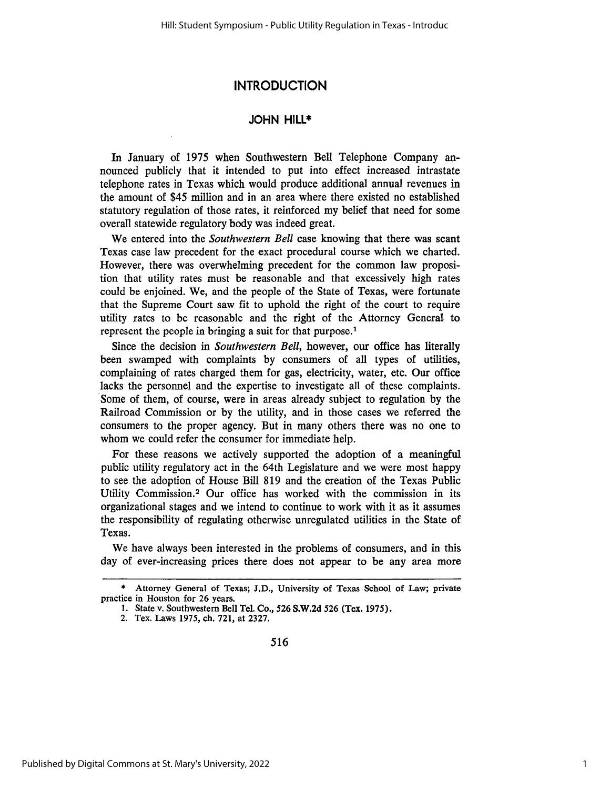### **INTRODUCTION**

#### **JOHN** HILL\*

In January of 1975 when Southwestern Bell Telephone Company announced publicly that it intended to put into effect increased intrastate telephone rates in Texas which would produce additional annual revenues in the amount of \$45 million and in an area where there existed no established statutory regulation of those rates, it reinforced my belief that need for some overall statewide regulatory body was indeed great.

We entered into the *Southwestern Bell* case knowing that there was scant Texas case law precedent for the exact procedural course which we charted. However, there was overwhelming precedent for the common law proposition that utility rates must be reasonable and that excessively high rates could be enjoined. We, and the people of the State of Texas, were fortunate that the Supreme Court saw fit to uphold the right of the court to require utility rates to be reasonable and the right of the Attorney General to represent the people in bringing a suit for that purpose.'

Since the decision in *Southwestern Bell,* however, our office has literally been swamped with complaints by consumers of all types of utilities, complaining of rates charged them for gas, electricity, water, etc. Our office lacks the personnel and the expertise to investigate all of these complaints. Some of them, of course, were in areas already subject to regulation by the Railroad Commission or by the utility, and in those cases we referred the consumers to the proper agency. But in many others there was no one to whom we could refer the consumer for immediate help.

For these reasons we actively supported the adoption of a meaningful public utility regulatory act in the 64th Legislature and we were most happy to see the adoption of House Bill 819 and the creation of the Texas Public Utility Commission.<sup>2</sup> Our office has worked with the commission in its organizational stages and we intend to continue to work with it as it assumes the responsibility of regulating otherwise unregulated utilities in the State of Texas.

We have always been interested in the problems of consumers, and in this day of ever-increasing prices there does not appear to be any area more

<sup>\*</sup> Attorney General of Texas; J.D., University of Texas School of Law; private practice in Houston for 26 years.

<sup>1.</sup> State v. Southwestern Bell Tel. Co., **526** S.W.2d **526** (Tex. 1975).

<sup>2.</sup> Tex. Laws 1975, **ch.** 721, at 2327.